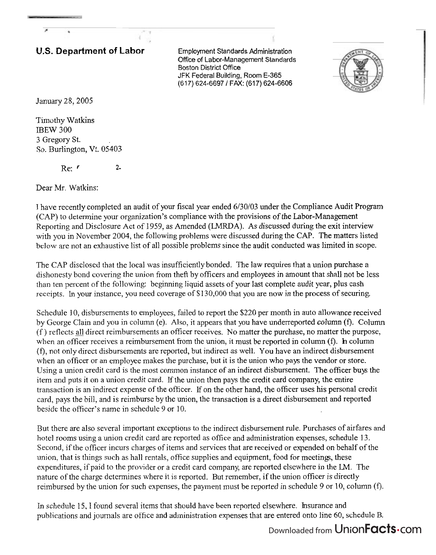## **U.S. Department of Labor** Employment Standards Administration

Office of Labor-Management Standards Boston District Office JFK Federal Building, Room E-365 (617) 624-6697 1 FAX: (617) 624-6606



January 28,2005

Timothy Watkins IBEW 300 **3** Gregory St. So. Burlington, Vt. 05403

 $\text{Re:} \quad r$  2

Dear Mr. Watkins:

1 have recently completed an audit of your fiscal year ended 6/30/03 under the Compliance Audit Program (CAP) to determine your organization's compliance with the provisions of the Labor-Management Reporting and Disclosure Act of 1959, as Amended (LMRDA). As discussed during the exit interview with you in November 2004, the following problems were discussed during the CAP. The matters listed below are not an exhaustive list of all possible problems since the audit conducted was limited in scope.

The CAP disclosed that the local was insufficientlybonded. The law requires that a union purchase a dishonesty bond covering the union from theft by officers and employees in amount that shall not be less than ten percent of the following: beginning liquid assets of your last complete audit year, plus cash receipts. In your instance, you need coverage of \$130,000 that you are now in the process of securing.

Schedule 10, disbursements to employees, failed to report the \$220 per month in auto allowance received by George Clain and you in column (e). Also, it appears that you have underreported column **(f).** Column  $(f)$  reflects all direct reimbursements an officer receives. No matter the purchase, no matter the purpose, when an officer receives a reimbursement from the union, it must be reported in column (f). **h** column (f), not only direct disbursements are reported, but indirect as well. You have an indirect disbursement when an officer or an employee makes the purchase, but it is the union who pays the vendor or store. Using a union credit card is the most common instance of an indirect disbursement. The officer buys the item and puts it on a union credit card. If the union then pays the credit card company, the entire transaction is an indirect expense of the officer. If on the other hand, the officer uses his personal credit card, pays the bill, and is reimburse by the union, the transaction is a direct disbursement and reported beside the officer's name in schedule 9 or 10.

But there are also several important exceptions to the indirect disbursement rule. Purchases of airfares and hotel rooms using a union credit card are reported as office and administration expenses, schedule 13. Second, if the officer incurs charges of items and services that are received or expended on behalf of the union, that is things such as hall rentals, office supplies and equipment, food for meeting, these expenditures, if paid to the provider or a credit card company, are reported elsewhere in the LM. The nature of the charge determines where it is reported. But remember, if the union officer is directly reimbursed by the union for such expenses, the payment must be reported in schedule 9 or 10, column (f).

In schedule 15,I found several items that should have been reported elsewhere. Insurance and publications and journals are office and administration expenses that are entered onto line 60, schedule B.